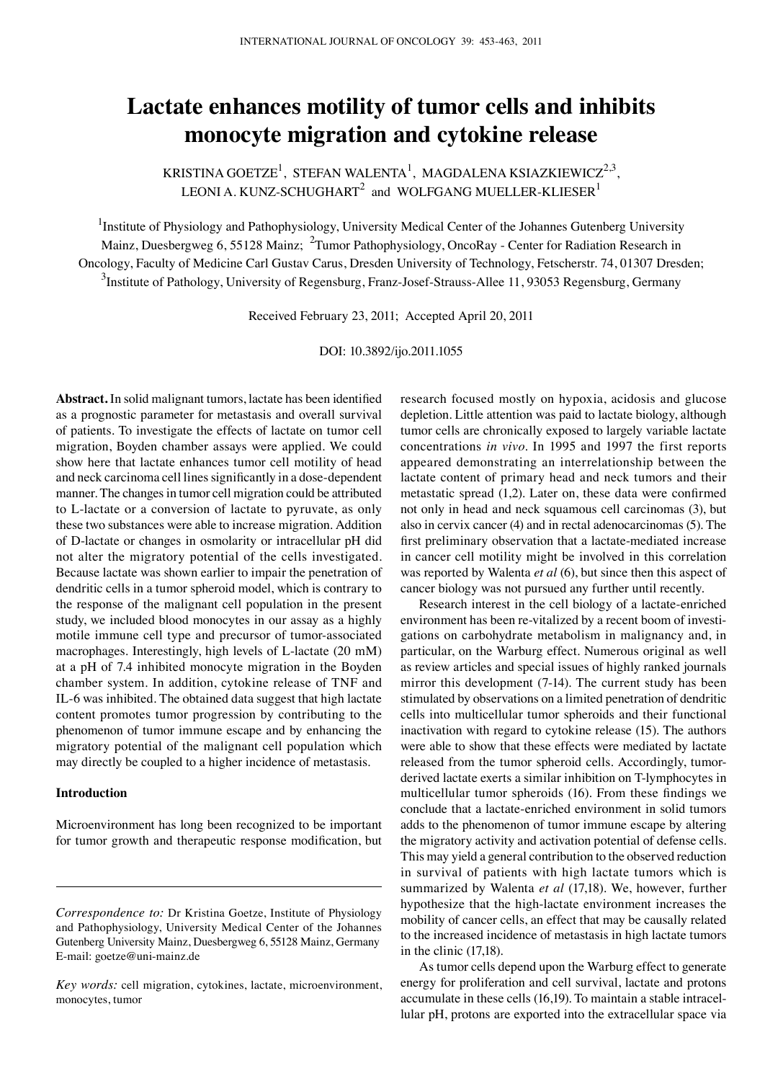# **Lactate enhances motility of tumor cells and inhibits monocyte migration and cytokine release**

KRISTINA GOETZE<sup>1</sup>, STEFAN WALENTA<sup>1</sup>, MAGDALENA KSIAZKIEWICZ<sup>2,3</sup>, LEONI A. KUNZ-SCHUGHART $^2$  and WOLFGANG MUELLER-KLIESER $^1$ 

<sup>1</sup>Institute of Physiology and Pathophysiology, University Medical Center of the Johannes Gutenberg University Mainz, Duesbergweg 6, 55128 Mainz; <sup>2</sup>Tumor Pathophysiology, OncoRay - Center for Radiation Research in Oncology, Faculty of Medicine Carl Gustav Carus, Dresden University of Technology, Fetscherstr. 74, 01307 Dresden;  $^3$ Institute of Pathology, University of Regensburg, Franz-Josef-Strauss-Allee 11, 93053 Regensburg, Germany

Received February 23, 2011; Accepted April 20, 2011

DOI: 10.3892/ijo.2011.1055

**Abstract.** In solid malignant tumors, lactate has been identified as a prognostic parameter for metastasis and overall survival of patients. To investigate the effects of lactate on tumor cell migration, Boyden chamber assays were applied. We could show here that lactate enhances tumor cell motility of head and neck carcinoma cell lines significantly in a dose-dependent manner. The changes in tumor cell migration could be attributed to L-lactate or a conversion of lactate to pyruvate, as only these two substances were able to increase migration. Addition of D-lactate or changes in osmolarity or intracellular pH did not alter the migratory potential of the cells investigated. Because lactate was shown earlier to impair the penetration of dendritic cells in a tumor spheroid model, which is contrary to the response of the malignant cell population in the present study, we included blood monocytes in our assay as a highly motile immune cell type and precursor of tumor-associated macrophages. Interestingly, high levels of L-lactate (20 mM) at a pH of 7.4 inhibited monocyte migration in the Boyden chamber system. In addition, cytokine release of TNF and IL-6 was inhibited. The obtained data suggest that high lactate content promotes tumor progression by contributing to the phenomenon of tumor immune escape and by enhancing the migratory potential of the malignant cell population which may directly be coupled to a higher incidence of metastasis.

## **Introduction**

Microenvironment has long been recognized to be important for tumor growth and therapeutic response modification, but research focused mostly on hypoxia, acidosis and glucose depletion. Little attention was paid to lactate biology, although tumor cells are chronically exposed to largely variable lactate concentrations *in vivo*. In 1995 and 1997 the first reports appeared demonstrating an interrelationship between the lactate content of primary head and neck tumors and their metastatic spread (1,2). Later on, these data were confirmed not only in head and neck squamous cell carcinomas (3), but also in cervix cancer (4) and in rectal adenocarcinomas (5). The first preliminary observation that a lactate-mediated increase in cancer cell motility might be involved in this correlation was reported by Walenta *et al* (6), but since then this aspect of cancer biology was not pursued any further until recently.

Research interest in the cell biology of a lactate-enriched environment has been re-vitalized by a recent boom of investigations on carbohydrate metabolism in malignancy and, in particular, on the Warburg effect. Numerous original as well as review articles and special issues of highly ranked journals mirror this development (7-14). The current study has been stimulated by observations on a limited penetration of dendritic cells into multicellular tumor spheroids and their functional inactivation with regard to cytokine release (15). The authors were able to show that these effects were mediated by lactate released from the tumor spheroid cells. Accordingly, tumorderived lactate exerts a similar inhibition on T-lymphocytes in multicellular tumor spheroids (16). From these findings we conclude that a lactate-enriched environment in solid tumors adds to the phenomenon of tumor immune escape by altering the migratory activity and activation potential of defense cells. This may yield a general contribution to the observed reduction in survival of patients with high lactate tumors which is summarized by Walenta *et al* (17,18). We, however, further hypothesize that the high-lactate environment increases the mobility of cancer cells, an effect that may be causally related to the increased incidence of metastasis in high lactate tumors in the clinic (17,18).

As tumor cells depend upon the Warburg effect to generate energy for proliferation and cell survival, lactate and protons accumulate in these cells (16,19). To maintain a stable intracellular pH, protons are exported into the extracellular space via

*Correspondence to:* Dr Kristina Goetze, Institute of Physiology and Pathophysiology, University Medical Center of the Johannes Gutenberg University Mainz, Duesbergweg 6, 55128 Mainz, Germany E-mail: goetze@uni-mainz.de

*Key words:* cell migration, cytokines, lactate, microenvironment, monocytes, tumor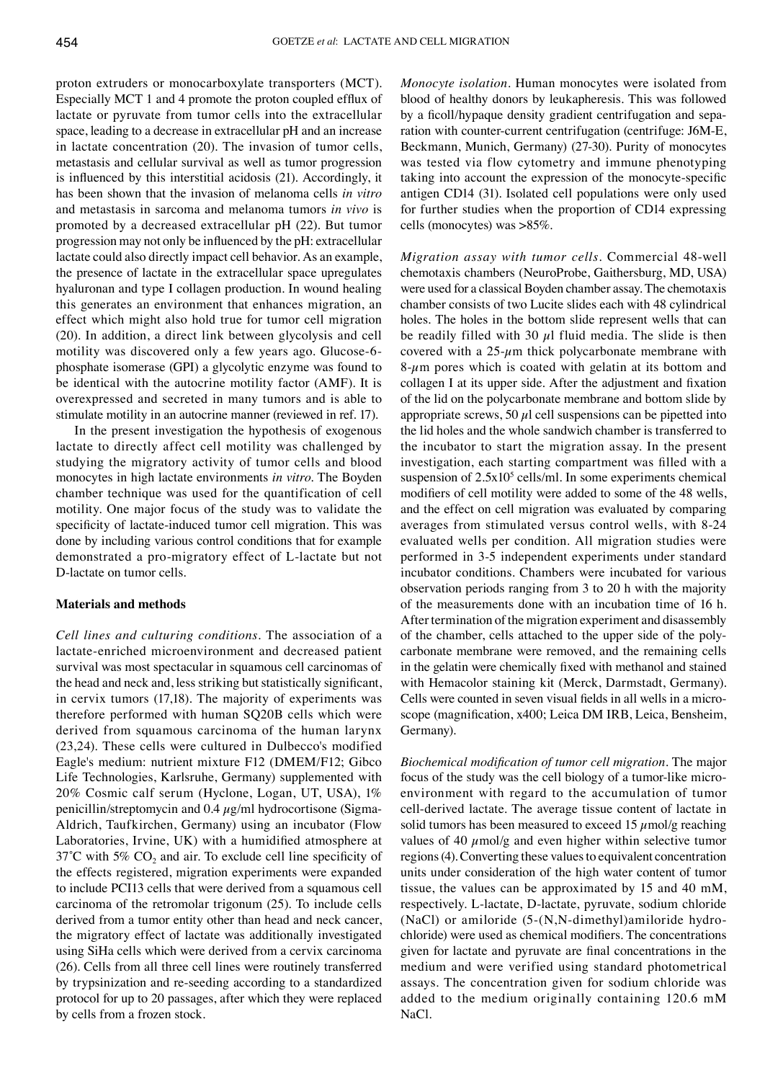proton extruders or monocarboxylate transporters (MCT). Especially MCT 1 and 4 promote the proton coupled efflux of lactate or pyruvate from tumor cells into the extracellular space, leading to a decrease in extracellular pH and an increase in lactate concentration (20). The invasion of tumor cells, metastasis and cellular survival as well as tumor progression is influenced by this interstitial acidosis (21). Accordingly, it has been shown that the invasion of melanoma cells *in vitro* and metastasis in sarcoma and melanoma tumors *in vivo* is promoted by a decreased extracellular pH (22). But tumor progression may not only be influenced by the pH: extracellular lactate could also directly impact cell behavior. As an example, the presence of lactate in the extracellular space upregulates hyaluronan and type I collagen production. In wound healing this generates an environment that enhances migration, an effect which might also hold true for tumor cell migration (20). In addition, a direct link between glycolysis and cell motility was discovered only a few years ago. Glucose-6 phosphate isomerase (GPI) a glycolytic enzyme was found to be identical with the autocrine motility factor (AMF). It is overexpressed and secreted in many tumors and is able to stimulate motility in an autocrine manner (reviewed in ref. 17).

In the present investigation the hypothesis of exogenous lactate to directly affect cell motility was challenged by studying the migratory activity of tumor cells and blood monocytes in high lactate environments *in vitro*. The Boyden chamber technique was used for the quantification of cell motility. One major focus of the study was to validate the specificity of lactate-induced tumor cell migration. This was done by including various control conditions that for example demonstrated a pro-migratory effect of L-lactate but not D-lactate on tumor cells.

### **Materials and methods**

*Cell lines and culturing conditions.* The association of a lactate-enriched microenvironment and decreased patient survival was most spectacular in squamous cell carcinomas of the head and neck and, less striking but statistically significant, in cervix tumors (17,18). The majority of experiments was therefore performed with human SQ20B cells which were derived from squamous carcinoma of the human larynx (23,24). These cells were cultured in Dulbecco's modified Eagle's medium: nutrient mixture F12 (DMEM/F12; Gibco Life Technologies, Karlsruhe, Germany) supplemented with 20% Cosmic calf serum (Hyclone, Logan, UT, USA), 1% penicillin/streptomycin and  $0.4 \mu g/ml$  hydrocortisone (Sigma-Aldrich, Taufkirchen, Germany) using an incubator (Flow Laboratories, Irvine, UK) with a humidified atmosphere at 37°C with 5%  $CO<sub>2</sub>$  and air. To exclude cell line specificity of the effects registered, migration experiments were expanded to include PCI13 cells that were derived from a squamous cell carcinoma of the retromolar trigonum (25). To include cells derived from a tumor entity other than head and neck cancer, the migratory effect of lactate was additionally investigated using SiHa cells which were derived from a cervix carcinoma (26). Cells from all three cell lines were routinely transferred by trypsinization and re-seeding according to a standardized protocol for up to 20 passages, after which they were replaced by cells from a frozen stock.

*Monocyte isolation.* Human monocytes were isolated from blood of healthy donors by leukapheresis. This was followed by a ficoll/hypaque density gradient centrifugation and separation with counter-current centrifugation (centrifuge: J6M-E, Beckmann, Munich, Germany) (27-30). Purity of monocytes was tested via flow cytometry and immune phenotyping taking into account the expression of the monocyte-specific antigen CD14 (31). Isolated cell populations were only used for further studies when the proportion of CD14 expressing cells (monocytes) was >85%.

*Migration assay with tumor cells.* Commercial 48-well chemotaxis chambers (NeuroProbe, Gaithersburg, MD, USA) were used for a classical Boyden chamber assay. The chemotaxis chamber consists of two Lucite slides each with 48 cylindrical holes. The holes in the bottom slide represent wells that can be readily filled with 30  $\mu$ l fluid media. The slide is then covered with a  $25-\mu m$  thick polycarbonate membrane with  $8-\mu$ m pores which is coated with gelatin at its bottom and collagen I at its upper side. After the adjustment and fixation of the lid on the polycarbonate membrane and bottom slide by appropriate screws, 50  $\mu$ l cell suspensions can be pipetted into the lid holes and the whole sandwich chamber is transferred to the incubator to start the migration assay. In the present investigation, each starting compartment was filled with a suspension of  $2.5x10<sup>5</sup>$  cells/ml. In some experiments chemical modifiers of cell motility were added to some of the 48 wells, and the effect on cell migration was evaluated by comparing averages from stimulated versus control wells, with 8-24 evaluated wells per condition. All migration studies were performed in 3-5 independent experiments under standard incubator conditions. Chambers were incubated for various observation periods ranging from 3 to 20 h with the majority of the measurements done with an incubation time of 16 h. After termination of the migration experiment and disassembly of the chamber, cells attached to the upper side of the polycarbonate membrane were removed, and the remaining cells in the gelatin were chemically fixed with methanol and stained with Hemacolor staining kit (Merck, Darmstadt, Germany). Cells were counted in seven visual fields in all wells in a microscope (magnification, x400; Leica DM IRB, Leica, Bensheim, Germany).

*Biochemical modification of tumor cell migration.* The major focus of the study was the cell biology of a tumor-like microenvironment with regard to the accumulation of tumor cell-derived lactate. The average tissue content of lactate in solid tumors has been measured to exceed 15  $\mu$ mol/g reaching values of 40  $\mu$ mol/g and even higher within selective tumor regions (4). Converting these values to equivalent concentration units under consideration of the high water content of tumor tissue, the values can be approximated by 15 and 40 mM, respectively. L-lactate, D-lactate, pyruvate, sodium chloride (NaCl) or amiloride (5-(N,N-dimethyl)amiloride hydrochloride) were used as chemical modifiers. The concentrations given for lactate and pyruvate are final concentrations in the medium and were verified using standard photometrical assays. The concentration given for sodium chloride was added to the medium originally containing 120.6 mM NaCl.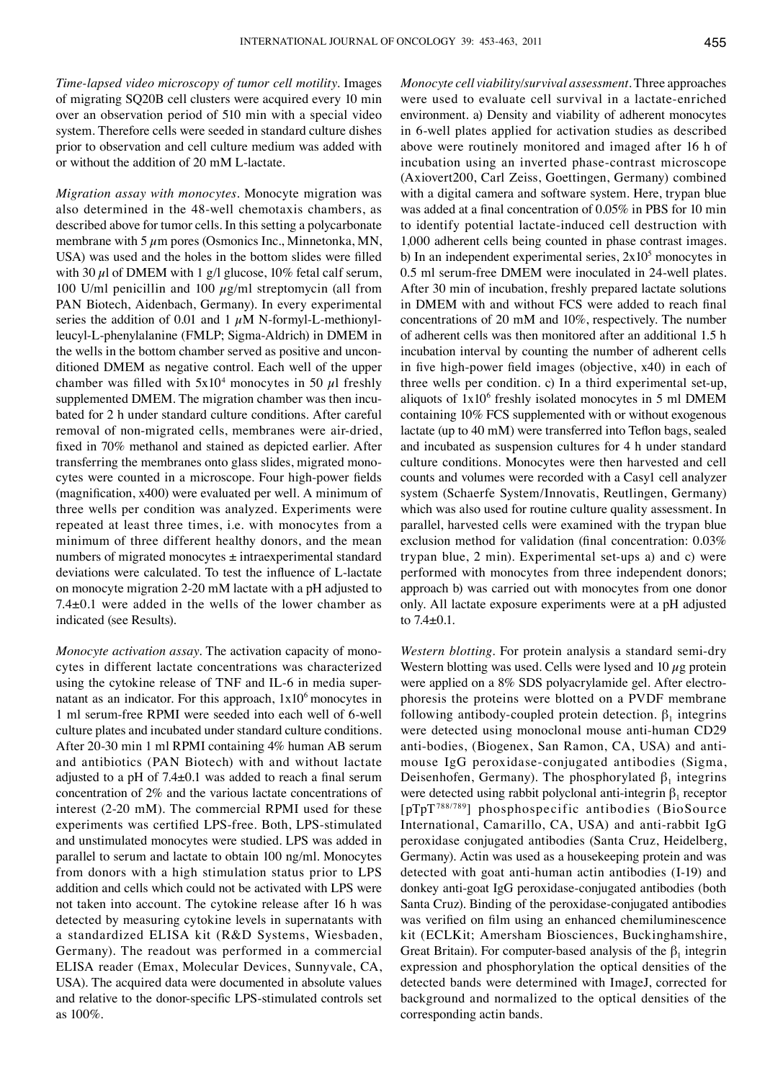*Time-lapsed video microscopy of tumor cell motility.* Images of migrating SQ20B cell clusters were acquired every 10 min over an observation period of 510 min with a special video system. Therefore cells were seeded in standard culture dishes prior to observation and cell culture medium was added with or without the addition of 20 mM L-lactate.

*Migration assay with monocytes.* Monocyte migration was also determined in the 48-well chemotaxis chambers, as described above for tumor cells. In this setting a polycarbonate membrane with 5  $\mu$ m pores (Osmonics Inc., Minnetonka, MN, USA) was used and the holes in the bottom slides were filled with 30  $\mu$ l of DMEM with 1 g/l glucose, 10% fetal calf serum, 100 U/ml penicillin and 100  $\mu$ g/ml streptomycin (all from PAN Biotech, Aidenbach, Germany). In every experimental series the addition of 0.01 and 1  $\mu$ M N-formyl-L-methionylleucyl-L-phenylalanine (FMLP; Sigma-Aldrich) in DMEM in the wells in the bottom chamber served as positive and unconditioned DMEM as negative control. Each well of the upper chamber was filled with  $5x10^4$  monocytes in 50  $\mu$ l freshly supplemented DMEM. The migration chamber was then incubated for 2 h under standard culture conditions. After careful removal of non-migrated cells, membranes were air-dried, fixed in 70% methanol and stained as depicted earlier. After transferring the membranes onto glass slides, migrated monocytes were counted in a microscope. Four high-power fields (magnification, x400) were evaluated per well. A minimum of three wells per condition was analyzed. Experiments were repeated at least three times, i.e. with monocytes from a minimum of three different healthy donors, and the mean numbers of migrated monocytes  $\pm$  intraexperimental standard deviations were calculated. To test the influence of L‑lactate on monocyte migration 2-20 mM lactate with a pH adjusted to 7.4±0.1 were added in the wells of the lower chamber as indicated (see Results).

*Monocyte activation assay.* The activation capacity of monocytes in different lactate concentrations was characterized using the cytokine release of TNF and IL-6 in media supernatant as an indicator. For this approach,  $1x10<sup>6</sup>$  monocytes in 1 ml serum-free RPMI were seeded into each well of 6-well culture plates and incubated under standard culture conditions. After 20-30 min 1 ml RPMI containing 4% human AB serum and antibiotics (PAN Biotech) with and without lactate adjusted to a pH of 7.4±0.1 was added to reach a final serum concentration of 2% and the various lactate concentrations of interest (2-20 mM). The commercial RPMI used for these experiments was certified LPS-free. Both, LPS-stimulated and unstimulated monocytes were studied. LPS was added in parallel to serum and lactate to obtain 100 ng/ml. Monocytes from donors with a high stimulation status prior to LPS addition and cells which could not be activated with LPS were not taken into account. The cytokine release after 16 h was detected by measuring cytokine levels in supernatants with a standardized ELISA kit (R&D Systems, Wiesbaden, Germany). The readout was performed in a commercial ELISA reader (Emax, Molecular Devices, Sunnyvale, CA, USA). The acquired data were documented in absolute values and relative to the donor-specific LPS-stimulated controls set as 100%.

*Monocyte cell viability/survival assessment.* Three approaches were used to evaluate cell survival in a lactate-enriched environment. a) Density and viability of adherent monocytes in 6-well plates applied for activation studies as described above were routinely monitored and imaged after 16 h of incubation using an inverted phase-contrast microscope (Axiovert200, Carl Zeiss, Goettingen, Germany) combined with a digital camera and software system. Here, trypan blue was added at a final concentration of 0.05% in PBS for 10 min to identify potential lactate-induced cell destruction with 1,000 adherent cells being counted in phase contrast images. b) In an independent experimental series,  $2x10<sup>5</sup>$  monocytes in 0.5 ml serum-free DMEM were inoculated in 24-well plates. After 30 min of incubation, freshly prepared lactate solutions in DMEM with and without FCS were added to reach final concentrations of 20 mM and 10%, respectively. The number of adherent cells was then monitored after an additional 1.5 h incubation interval by counting the number of adherent cells in five high-power field images (objective, x40) in each of three wells per condition. c) In a third experimental set-up, aliquots of  $1x10<sup>6</sup>$  freshly isolated monocytes in 5 ml DMEM containing 10% FCS supplemented with or without exogenous lactate (up to 40 mM) were transferred into Teflon bags, sealed and incubated as suspension cultures for 4 h under standard culture conditions. Monocytes were then harvested and cell counts and volumes were recorded with a Casy1 cell analyzer system (Schaerfe System/Innovatis, Reutlingen, Germany) which was also used for routine culture quality assessment. In parallel, harvested cells were examined with the trypan blue exclusion method for validation (final concentration: 0.03% trypan blue, 2 min). Experimental set-ups a) and c) were performed with monocytes from three independent donors; approach b) was carried out with monocytes from one donor only. All lactate exposure experiments were at a pH adjusted to 7.4±0.1.

*Western blotting.* For protein analysis a standard semi-dry Western blotting was used. Cells were lysed and  $10 \mu$ g protein were applied on a 8% SDS polyacrylamide gel. After electrophoresis the proteins were blotted on a PVDF membrane following antibody-coupled protein detection.  $\beta_1$  integrins were detected using monoclonal mouse anti-human CD29 anti-bodies, (Biogenex, San Ramon, CA, USA) and antimouse IgG peroxidase-conjugated antibodies (Sigma, Deisenhofen, Germany). The phosphorylated  $\beta_1$  integrins were detected using rabbit polyclonal anti-integrin  $\beta_1$  receptor [pTpT788/789] phosphospecific antibodies (BioSource International, Camarillo, CA, USA) and anti-rabbit IgG peroxidase conjugated antibodies (Santa Cruz, Heidelberg, Germany). Actin was used as a housekeeping protein and was detected with goat anti-human actin antibodies (I-19) and donkey anti-goat IgG peroxidase-conjugated antibodies (both Santa Cruz). Binding of the peroxidase-conjugated antibodies was verified on film using an enhanced chemiluminescence kit (ECLKit; Amersham Biosciences, Buckinghamshire, Great Britain). For computer-based analysis of the  $\beta_1$  integrin expression and phosphorylation the optical densities of the detected bands were determined with ImageJ, corrected for background and normalized to the optical densities of the corresponding actin bands.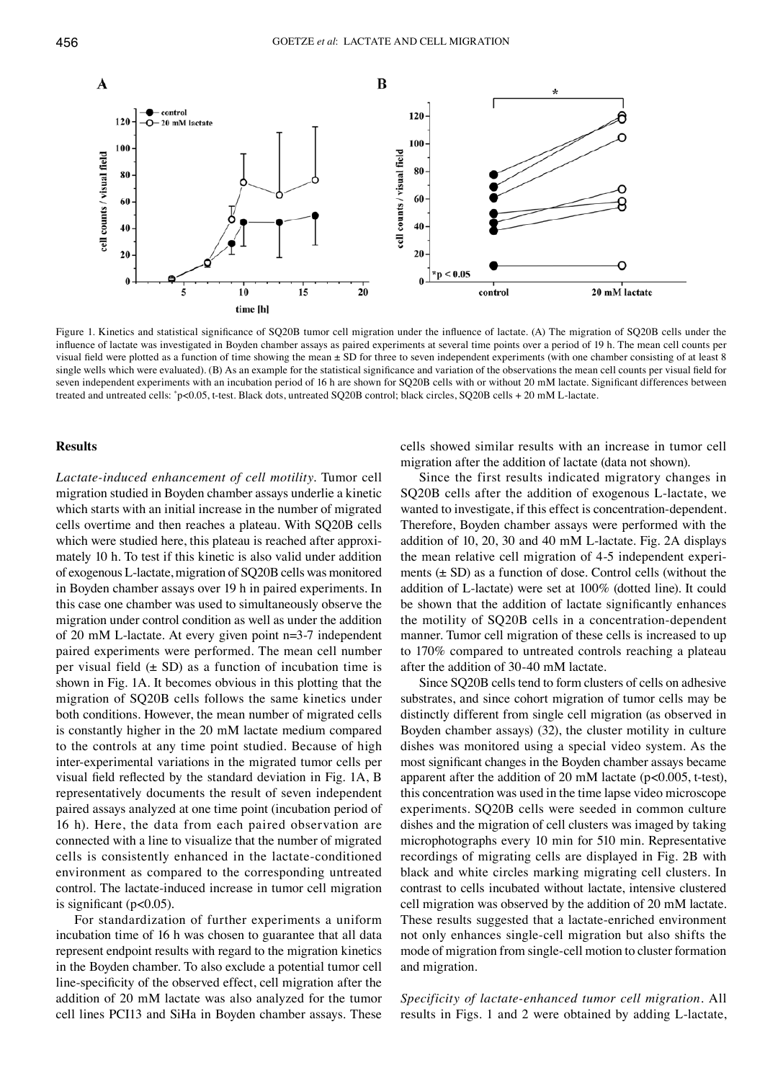

Figure 1. Kinetics and statistical significance of SQ20B tumor cell migration under the influence of lactate. (A) The migration of SQ20B cells under the influence of lactate was investigated in Boyden chamber assays as paired experiments at several time points over a period of 19 h. The mean cell counts per visual field were plotted as a function of time showing the mean ± SD for three to seven independent experiments (with one chamber consisting of at least 8 single wells which were evaluated). (B) As an example for the statistical significance and variation of the observations the mean cell counts per visual field for seven independent experiments with an incubation period of 16 h are shown for SQ20B cells with or without 20 mM lactate. Significant differences between treated and untreated cells: \* p<0.05, t‑test. Black dots, untreated SQ20B control; black circles, SQ20B cells + 20 mM L‑lactate.

## **Results**

*Lactate-induced enhancement of cell motility.* Tumor cell migration studied in Boyden chamber assays underlie a kinetic which starts with an initial increase in the number of migrated cells overtime and then reaches a plateau. With SQ20B cells which were studied here, this plateau is reached after approximately 10 h. To test if this kinetic is also valid under addition of exogenous L-lactate, migration of SQ20B cells was monitored in Boyden chamber assays over 19 h in paired experiments. In this case one chamber was used to simultaneously observe the migration under control condition as well as under the addition of 20 mM L-lactate. At every given point n=3-7 independent paired experiments were performed. The mean cell number per visual field  $(\pm SD)$  as a function of incubation time is shown in Fig. 1A. It becomes obvious in this plotting that the migration of SQ20B cells follows the same kinetics under both conditions. However, the mean number of migrated cells is constantly higher in the 20 mM lactate medium compared to the controls at any time point studied. Because of high inter-experimental variations in the migrated tumor cells per visual field reflected by the standard deviation in Fig. 1A, B representatively documents the result of seven independent paired assays analyzed at one time point (incubation period of 16 h). Here, the data from each paired observation are connected with a line to visualize that the number of migrated cells is consistently enhanced in the lactate-conditioned environment as compared to the corresponding untreated control. The lactate-induced increase in tumor cell migration is significant ( $p<0.05$ ).

For standardization of further experiments a uniform incubation time of 16 h was chosen to guarantee that all data represent endpoint results with regard to the migration kinetics in the Boyden chamber. To also exclude a potential tumor cell line-specificity of the observed effect, cell migration after the addition of 20 mM lactate was also analyzed for the tumor cell lines PCI13 and SiHa in Boyden chamber assays. These cells showed similar results with an increase in tumor cell migration after the addition of lactate (data not shown).

Since the first results indicated migratory changes in SQ20B cells after the addition of exogenous L-lactate, we wanted to investigate, if this effect is concentration-dependent. Therefore, Boyden chamber assays were performed with the addition of 10, 20, 30 and 40 mM L-lactate. Fig. 2A displays the mean relative cell migration of 4-5 independent experiments  $(\pm SD)$  as a function of dose. Control cells (without the addition of L-lactate) were set at 100% (dotted line). It could be shown that the addition of lactate significantly enhances the motility of SQ20B cells in a concentration-dependent manner. Tumor cell migration of these cells is increased to up to 170% compared to untreated controls reaching a plateau after the addition of 30-40 mM lactate.

Since SQ20B cells tend to form clusters of cells on adhesive substrates, and since cohort migration of tumor cells may be distinctly different from single cell migration (as observed in Boyden chamber assays) (32), the cluster motility in culture dishes was monitored using a special video system. As the most significant changes in the Boyden chamber assays became apparent after the addition of 20 mM lactate ( $p$ <0.005, t-test), this concentration was used in the time lapse video microscope experiments. SQ20B cells were seeded in common culture dishes and the migration of cell clusters was imaged by taking microphotographs every 10 min for 510 min. Representative recordings of migrating cells are displayed in Fig. 2B with black and white circles marking migrating cell clusters. In contrast to cells incubated without lactate, intensive clustered cell migration was observed by the addition of 20 mM lactate. These results suggested that a lactate-enriched environment not only enhances single-cell migration but also shifts the mode of migration from single-cell motion to cluster formation and migration.

*Specificity of lactate-enhanced tumor cell migration.* All results in Figs. 1 and 2 were obtained by adding L-lactate,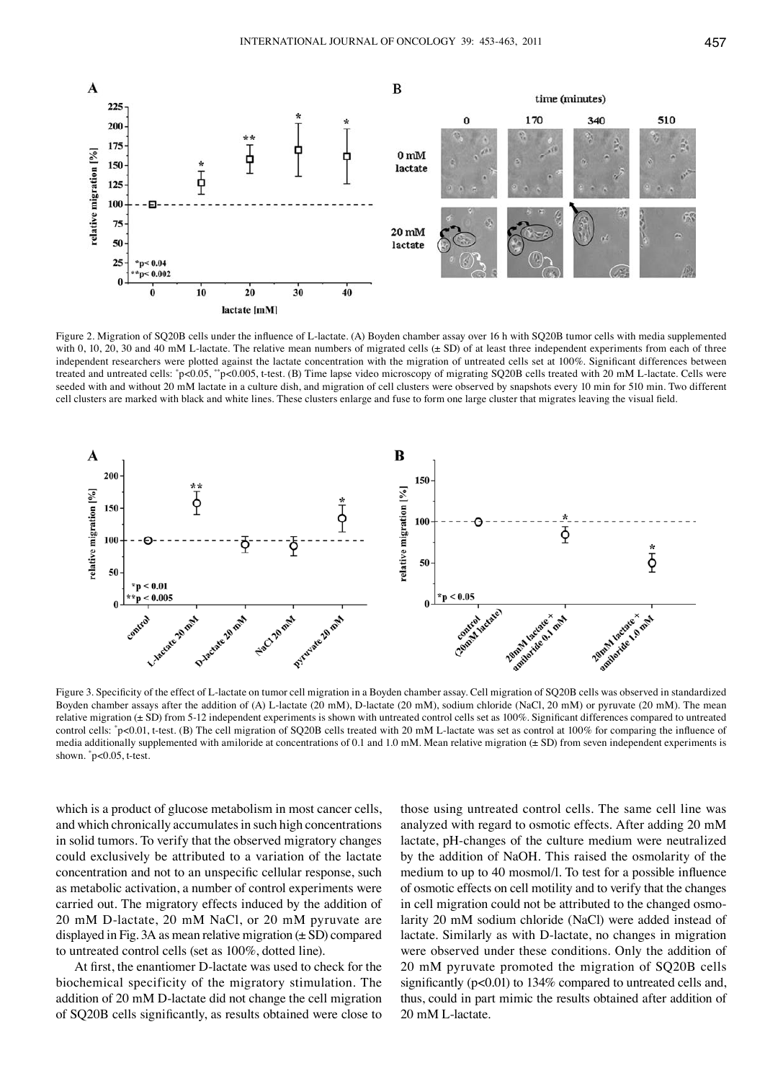

Figure 2. Migration of SQ20B cells under the influence of L-lactate. (A) Boyden chamber assay over 16 h with SQ20B tumor cells with media supplemented with 0, 10, 20, 30 and 40 mM L-lactate. The relative mean numbers of migrated cells (± SD) of at least three independent experiments from each of three independent researchers were plotted against the lactate concentration with the migration of untreated cells set at 100%. Significant differences between treated and untreated cells: "p<0.05, ""p<0.005, t-test. (B) Time lapse video microscopy of migrating SQ20B cells treated with 20 mM L-lactate. Cells were seeded with and without 20 mM lactate in a culture dish, and migration of cell clusters were observed by snapshots every 10 min for 510 min. Two different cell clusters are marked with black and white lines. These clusters enlarge and fuse to form one large cluster that migrates leaving the visual field.



Figure 3. Specificity of the effect of L-lactate on tumor cell migration in a Boyden chamber assay. Cell migration of SQ20B cells was observed in standardized Boyden chamber assays after the addition of (A) L-lactate (20 mM), D-lactate (20 mM), sodium chloride (NaCl, 20 mM) or pyruvate (20 mM). The mean relative migration (± SD) from 5-12 independent experiments is shown with untreated control cells set as 100%. Significant differences compared to untreated control cells: "p<0.01, t-test. (B) The cell migration of SQ20B cells treated with 20 mM L-lactate was set as control at 100% for comparing the influence of media additionally supplemented with amiloride at concentrations of 0.1 and 1.0 mM. Mean relative migration (± SD) from seven independent experiments is shown. \* p<0.05, t-test.

which is a product of glucose metabolism in most cancer cells, and which chronically accumulates in such high concentrations in solid tumors. To verify that the observed migratory changes could exclusively be attributed to a variation of the lactate concentration and not to an unspecific cellular response, such as metabolic activation, a number of control experiments were carried out. The migratory effects induced by the addition of 20 mM D-lactate, 20 mM NaCl, or 20 mM pyruvate are displayed in Fig. 3A as mean relative migration  $(\pm SD)$  compared to untreated control cells (set as 100%, dotted line).

At first, the enantiomer D-lactate was used to check for the biochemical specificity of the migratory stimulation. The addition of 20 mM D-lactate did not change the cell migration of SQ20B cells significantly, as results obtained were close to

those using untreated control cells. The same cell line was analyzed with regard to osmotic effects. After adding 20 mM lactate, pH-changes of the culture medium were neutralized by the addition of NaOH. This raised the osmolarity of the medium to up to 40 mosmol/l. To test for a possible influence of osmotic effects on cell motility and to verify that the changes in cell migration could not be attributed to the changed osmolarity 20 mM sodium chloride (NaCl) were added instead of lactate. Similarly as with D-lactate, no changes in migration were observed under these conditions. Only the addition of 20 mM pyruvate promoted the migration of SQ20B cells significantly (p<0.01) to 134% compared to untreated cells and, thus, could in part mimic the results obtained after addition of 20 mM L-lactate.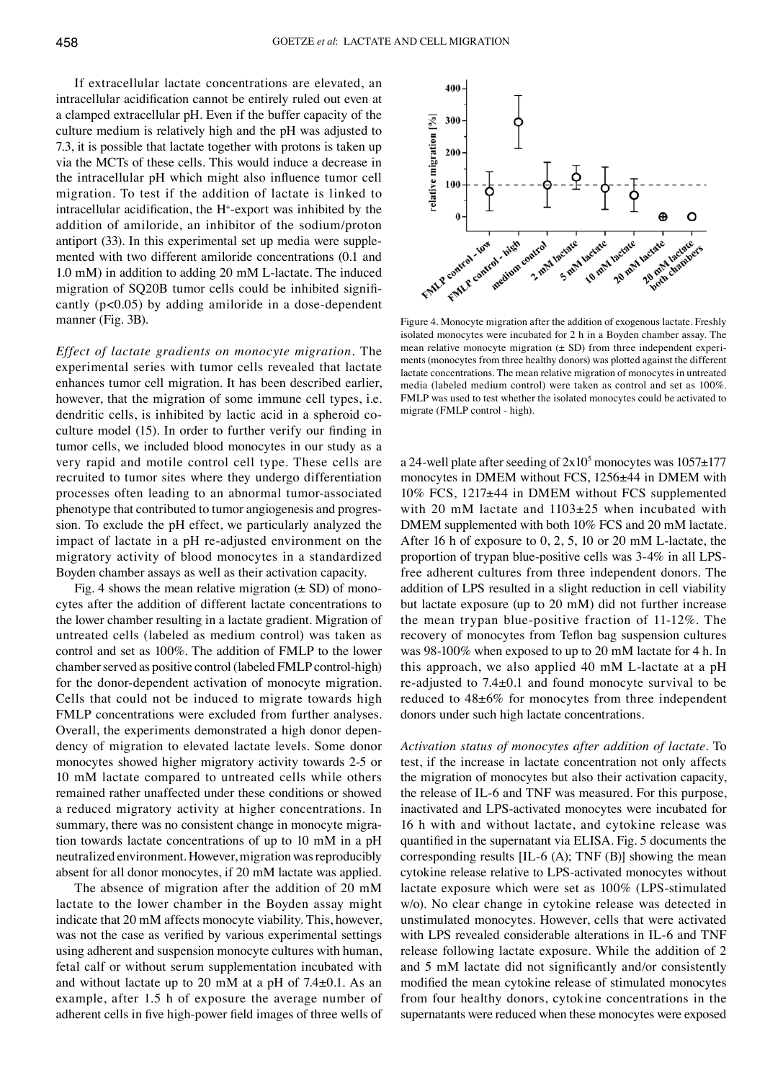If extracellular lactate concentrations are elevated, an intracellular acidification cannot be entirely ruled out even at a clamped extracellular pH. Even if the buffer capacity of the culture medium is relatively high and the pH was adjusted to 7.3, it is possible that lactate together with protons is taken up via the MCTs of these cells. This would induce a decrease in the intracellular pH which might also influence tumor cell migration. To test if the addition of lactate is linked to intracellular acidification, the H+ -export was inhibited by the addition of amiloride, an inhibitor of the sodium/proton antiport (33). In this experimental set up media were supplemented with two different amiloride concentrations (0.1 and 1.0 mM) in addition to adding 20 mM L-lactate. The induced migration of SQ20B tumor cells could be inhibited significantly (p<0.05) by adding amiloride in a dose-dependent manner (Fig. 3B).

*Effect of lactate gradients on monocyte migration.* The experimental series with tumor cells revealed that lactate enhances tumor cell migration. It has been described earlier, however, that the migration of some immune cell types, i.e. dendritic cells, is inhibited by lactic acid in a spheroid coculture model (15). In order to further verify our finding in tumor cells, we included blood monocytes in our study as a very rapid and motile control cell type. These cells are recruited to tumor sites where they undergo differentiation processes often leading to an abnormal tumor-associated phenotype that contributed to tumor angiogenesis and progression. To exclude the pH effect, we particularly analyzed the impact of lactate in a pH re-adjusted environment on the migratory activity of blood monocytes in a standardized Boyden chamber assays as well as their activation capacity.

Fig. 4 shows the mean relative migration  $(\pm SD)$  of monocytes after the addition of different lactate concentrations to the lower chamber resulting in a lactate gradient. Migration of untreated cells (labeled as medium control) was taken as control and set as 100%. The addition of FMLP to the lower chamber served as positive control (labeled FMLP control-high) for the donor-dependent activation of monocyte migration. Cells that could not be induced to migrate towards high FMLP concentrations were excluded from further analyses. Overall, the experiments demonstrated a high donor dependency of migration to elevated lactate levels. Some donor monocytes showed higher migratory activity towards 2-5 or 10 mM lactate compared to untreated cells while others remained rather unaffected under these conditions or showed a reduced migratory activity at higher concentrations. In summary, there was no consistent change in monocyte migration towards lactate concentrations of up to 10 mM in a pH neutralized environment. However, migration was reproducibly absent for all donor monocytes, if 20 mM lactate was applied.

The absence of migration after the addition of 20 mM lactate to the lower chamber in the Boyden assay might indicate that 20 mM affects monocyte viability. This, however, was not the case as verified by various experimental settings using adherent and suspension monocyte cultures with human, fetal calf or without serum supplementation incubated with and without lactate up to 20 mM at a pH of 7.4±0.1. As an example, after 1.5 h of exposure the average number of adherent cells in five high-power field images of three wells of



Figure 4. Monocyte migration after the addition of exogenous lactate. Freshly isolated monocytes were incubated for 2 h in a Boyden chamber assay. The mean relative monocyte migration  $(\pm SD)$  from three independent experiments (monocytes from three healthy donors) was plotted against the different lactate concentrations. The mean relative migration of monocytes in untreated media (labeled medium control) were taken as control and set as 100%. FMLP was used to test whether the isolated monocytes could be activated to migrate (FMLP control - high).

a 24-well plate after seeding of  $2x10<sup>5</sup>$  monocytes was  $1057\pm177$ monocytes in DMEM without FCS, 1256±44 in DMEM with 10% FCS, 1217±44 in DMEM without FCS supplemented with 20 mM lactate and 1103±25 when incubated with DMEM supplemented with both 10% FCS and 20 mM lactate. After 16 h of exposure to 0, 2, 5, 10 or 20 mM L-lactate, the proportion of trypan blue-positive cells was 3-4% in all LPSfree adherent cultures from three independent donors. The addition of LPS resulted in a slight reduction in cell viability but lactate exposure (up to 20 mM) did not further increase the mean trypan blue-positive fraction of 11-12%. The recovery of monocytes from Teflon bag suspension cultures was 98-100% when exposed to up to 20 mM lactate for 4 h. In this approach, we also applied 40 mM L-lactate at a pH re-adjusted to 7.4±0.1 and found monocyte survival to be reduced to 48±6% for monocytes from three independent donors under such high lactate concentrations.

*Activation status of monocytes after addition of lactate.* To test, if the increase in lactate concentration not only affects the migration of monocytes but also their activation capacity, the release of IL-6 and TNF was measured. For this purpose, inactivated and LPS-activated monocytes were incubated for 16 h with and without lactate, and cytokine release was quantified in the supernatant via ELISA. Fig. 5 documents the corresponding results [IL-6 (A); TNF (B)] showing the mean cytokine release relative to LPS-activated monocytes without lactate exposure which were set as 100% (LPS-stimulated w/o). No clear change in cytokine release was detected in unstimulated monocytes. However, cells that were activated with LPS revealed considerable alterations in IL-6 and TNF release following lactate exposure. While the addition of 2 and 5 mM lactate did not significantly and/or consistently modified the mean cytokine release of stimulated monocytes from four healthy donors, cytokine concentrations in the supernatants were reduced when these monocytes were exposed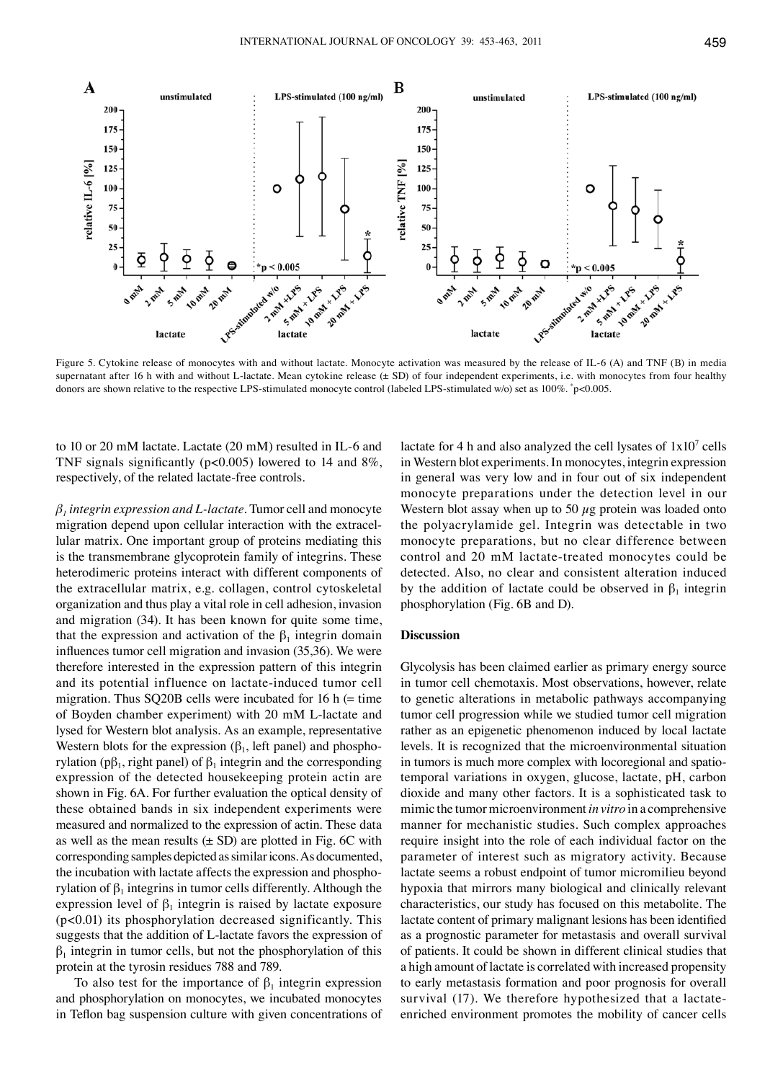

Figure 5. Cytokine release of monocytes with and without lactate. Monocyte activation was measured by the release of IL-6 (A) and TNF (B) in media supernatant after 16 h with and without L-lactate. Mean cytokine release ( $\pm$  SD) of four independent experiments, i.e. with monocytes from four healthy donors are shown relative to the respective LPS-stimulated monocyte control (labeled LPS-stimulated w/o) set as 100%. \* p<0.005.

to 10 or 20 mM lactate. Lactate (20 mM) resulted in IL-6 and TNF signals significantly (p<0.005) lowered to 14 and 8%, respectively, of the related lactate-free controls.

*β1 integrin expression and L‑lactate.* Tumor cell and monocyte migration depend upon cellular interaction with the extracellular matrix. One important group of proteins mediating this is the transmembrane glycoprotein family of integrins. These heterodimeric proteins interact with different components of the extracellular matrix, e.g. collagen, control cytoskeletal organization and thus play a vital role in cell adhesion, invasion and migration (34). It has been known for quite some time, that the expression and activation of the  $\beta_1$  integrin domain influences tumor cell migration and invasion (35,36). We were therefore interested in the expression pattern of this integrin and its potential influence on lactate-induced tumor cell migration. Thus SQ20B cells were incubated for 16 h  $(=$  time of Boyden chamber experiment) with 20 mM L-lactate and lysed for Western blot analysis. As an example, representative Western blots for the expression  $(\beta_1)$ , left panel) and phosphorylation (p $\beta_1$ , right panel) of  $\beta_1$  integrin and the corresponding expression of the detected housekeeping protein actin are shown in Fig. 6A. For further evaluation the optical density of these obtained bands in six independent experiments were measured and normalized to the expression of actin. These data as well as the mean results  $(\pm SD)$  are plotted in Fig. 6C with corresponding samples depicted as similar icons. As documented, the incubation with lactate affects the expression and phosphorylation of  $β_1$  integrins in tumor cells differently. Although the expression level of  $\beta_1$  integrin is raised by lactate exposure (p<0.01) its phosphorylation decreased significantly. This suggests that the addition of L-lactate favors the expression of  $\beta_1$  integrin in tumor cells, but not the phosphorylation of this protein at the tyrosin residues 788 and 789.

To also test for the importance of  $\beta_1$  integrin expression and phosphorylation on monocytes, we incubated monocytes in Teflon bag suspension culture with given concentrations of

lactate for 4 h and also analyzed the cell lysates of  $1x10^7$  cells in Western blot experiments. In monocytes, integrin expression in general was very low and in four out of six independent monocyte preparations under the detection level in our Western blot assay when up to 50  $\mu$ g protein was loaded onto the polyacrylamide gel. Integrin was detectable in two monocyte preparations, but no clear difference between control and 20 mM lactate-treated monocytes could be detected. Also, no clear and consistent alteration induced by the addition of lactate could be observed in  $\beta_1$  integrin phosphorylation (Fig. 6B and D).

## **Discussion**

Glycolysis has been claimed earlier as primary energy source in tumor cell chemotaxis. Most observations, however, relate to genetic alterations in metabolic pathways accompanying tumor cell progression while we studied tumor cell migration rather as an epigenetic phenomenon induced by local lactate levels. It is recognized that the microenvironmental situation in tumors is much more complex with locoregional and spatiotemporal variations in oxygen, glucose, lactate, pH, carbon dioxide and many other factors. It is a sophisticated task to mimic the tumor microenvironment *in vitro* in a comprehensive manner for mechanistic studies. Such complex approaches require insight into the role of each individual factor on the parameter of interest such as migratory activity. Because lactate seems a robust endpoint of tumor micromilieu beyond hypoxia that mirrors many biological and clinically relevant characteristics, our study has focused on this metabolite. The lactate content of primary malignant lesions has been identified as a prognostic parameter for metastasis and overall survival of patients. It could be shown in different clinical studies that a high amount of lactate is correlated with increased propensity to early metastasis formation and poor prognosis for overall survival (17). We therefore hypothesized that a lactateenriched environment promotes the mobility of cancer cells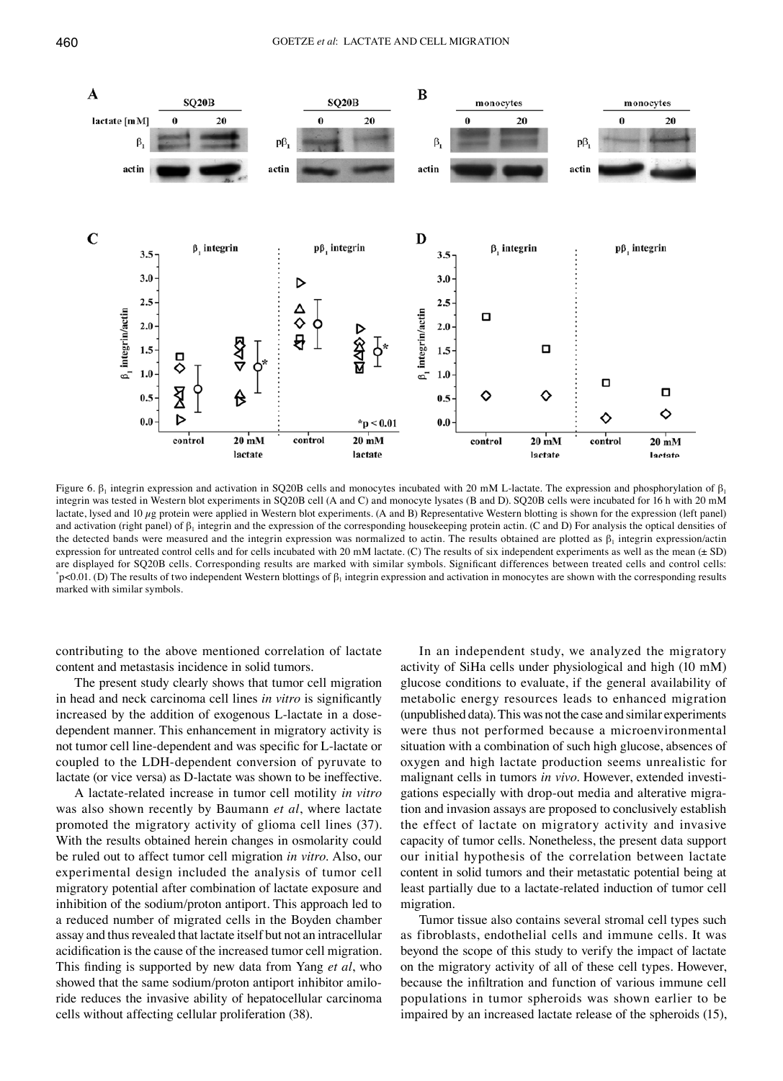

Figure 6. β<sub>1</sub> integrin expression and activation in SQ20B cells and monocytes incubated with 20 mM L-lactate. The expression and phosphorylation of β<sub>1</sub> integrin was tested in Western blot experiments in SQ20B cell (A and C) and monocyte lysates (B and D). SQ20B cells were incubated for 16 h with 20 mM lactate, lysed and 10  $\mu$ g protein were applied in Western blot experiments. (A and B) Representative Western blotting is shown for the expression (left panel) and activation (right panel) of  $\beta_1$  integrin and the expression of the corresponding housekeeping protein actin. (C and D) For analysis the optical densities of the detected bands were measured and the integrin expression was normalized to actin. The results obtained are plotted as  $\beta_1$  integrin expression/actin expression for untreated control cells and for cells incubated with 20 mM lactate. (C) The results of six independent experiments as well as the mean  $(\pm SD)$ are displayed for SQ20B cells. Corresponding results are marked with similar symbols. Significant differences between treated cells and control cells:  $p<0.01$ . (D) The results of two independent Western blottings of  $\beta_1$  integrin expression and activation in monocytes are shown with the corresponding results marked with similar symbols.

contributing to the above mentioned correlation of lactate content and metastasis incidence in solid tumors.

The present study clearly shows that tumor cell migration in head and neck carcinoma cell lines *in vitro* is significantly increased by the addition of exogenous L-lactate in a dosedependent manner. This enhancement in migratory activity is not tumor cell line-dependent and was specific for L‑lactate or coupled to the LDH-dependent conversion of pyruvate to lactate (or vice versa) as D-lactate was shown to be ineffective.

A lactate-related increase in tumor cell motility *in vitro* was also shown recently by Baumann *et al*, where lactate promoted the migratory activity of glioma cell lines (37). With the results obtained herein changes in osmolarity could be ruled out to affect tumor cell migration *in vitro*. Also, our experimental design included the analysis of tumor cell migratory potential after combination of lactate exposure and inhibition of the sodium/proton antiport. This approach led to a reduced number of migrated cells in the Boyden chamber assay and thus revealed that lactate itself but not an intracellular acidification is the cause of the increased tumor cell migration. This finding is supported by new data from Yang *et al*, who showed that the same sodium/proton antiport inhibitor amiloride reduces the invasive ability of hepatocellular carcinoma cells without affecting cellular proliferation (38).

In an independent study, we analyzed the migratory activity of SiHa cells under physiological and high (10 mM) glucose conditions to evaluate, if the general availability of metabolic energy resources leads to enhanced migration (unpublished data). This was not the case and similar experiments were thus not performed because a microenvironmental situation with a combination of such high glucose, absences of oxygen and high lactate production seems unrealistic for malignant cells in tumors *in vivo*. However, extended investigations especially with drop-out media and alterative migration and invasion assays are proposed to conclusively establish the effect of lactate on migratory activity and invasive capacity of tumor cells. Nonetheless, the present data support our initial hypothesis of the correlation between lactate content in solid tumors and their metastatic potential being at least partially due to a lactate-related induction of tumor cell migration.

Tumor tissue also contains several stromal cell types such as fibroblasts, endothelial cells and immune cells. It was beyond the scope of this study to verify the impact of lactate on the migratory activity of all of these cell types. However, because the infiltration and function of various immune cell populations in tumor spheroids was shown earlier to be impaired by an increased lactate release of the spheroids (15),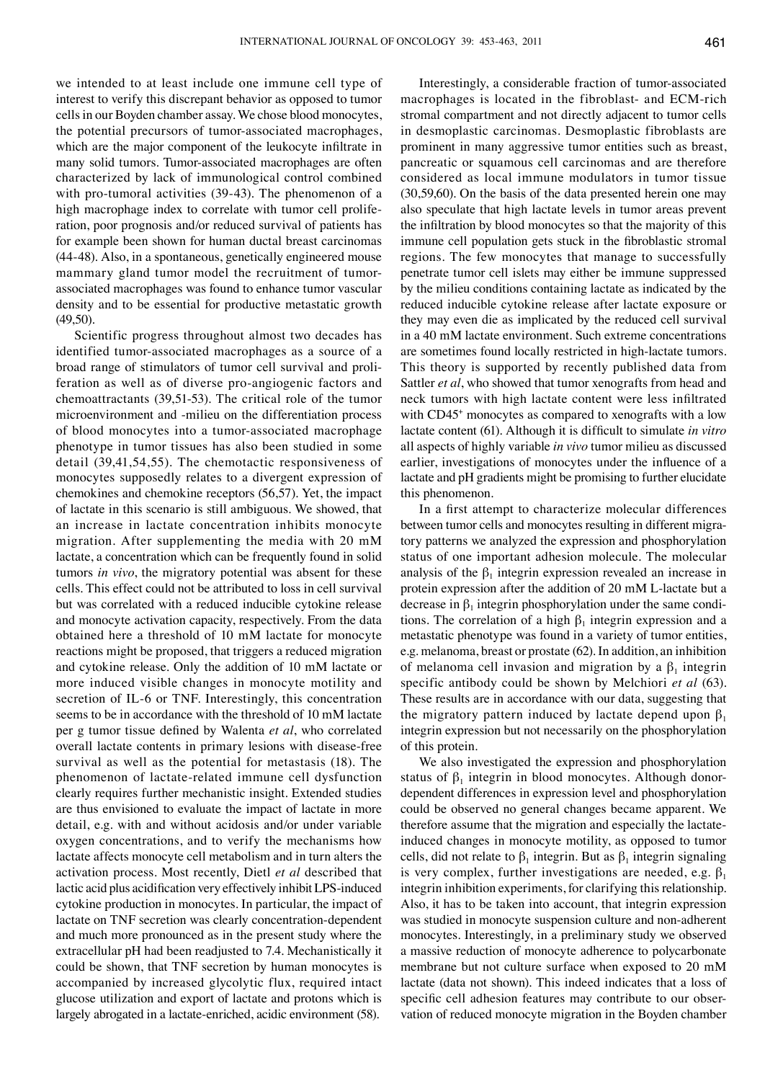we intended to at least include one immune cell type of interest to verify this discrepant behavior as opposed to tumor cells in our Boyden chamber assay. We chose blood monocytes, the potential precursors of tumor-associated macrophages, which are the major component of the leukocyte infiltrate in many solid tumors. Tumor-associated macrophages are often characterized by lack of immunological control combined with pro-tumoral activities (39-43). The phenomenon of a high macrophage index to correlate with tumor cell proliferation, poor prognosis and/or reduced survival of patients has for example been shown for human ductal breast carcinomas (44-48). Also, in a spontaneous, genetically engineered mouse mammary gland tumor model the recruitment of tumorassociated macrophages was found to enhance tumor vascular density and to be essential for productive metastatic growth (49,50).

Scientific progress throughout almost two decades has identified tumor-associated macrophages as a source of a broad range of stimulators of tumor cell survival and proliferation as well as of diverse pro-angiogenic factors and chemoattractants (39,51-53). The critical role of the tumor microenvironment and -milieu on the differentiation process of blood monocytes into a tumor-associated macrophage phenotype in tumor tissues has also been studied in some detail (39,41,54,55). The chemotactic responsiveness of monocytes supposedly relates to a divergent expression of chemokines and chemokine receptors (56,57). Yet, the impact of lactate in this scenario is still ambiguous. We showed, that an increase in lactate concentration inhibits monocyte migration. After supplementing the media with 20 mM lactate, a concentration which can be frequently found in solid tumors *in vivo*, the migratory potential was absent for these cells. This effect could not be attributed to loss in cell survival but was correlated with a reduced inducible cytokine release and monocyte activation capacity, respectively. From the data obtained here a threshold of 10 mM lactate for monocyte reactions might be proposed, that triggers a reduced migration and cytokine release. Only the addition of 10 mM lactate or more induced visible changes in monocyte motility and secretion of IL-6 or TNF. Interestingly, this concentration seems to be in accordance with the threshold of 10 mM lactate per g tumor tissue defined by Walenta *et al*, who correlated overall lactate contents in primary lesions with disease-free survival as well as the potential for metastasis (18). The phenomenon of lactate-related immune cell dysfunction clearly requires further mechanistic insight. Extended studies are thus envisioned to evaluate the impact of lactate in more detail, e.g. with and without acidosis and/or under variable oxygen concentrations, and to verify the mechanisms how lactate affects monocyte cell metabolism and in turn alters the activation process. Most recently, Dietl *et al* described that lactic acid plus acidification very effectively inhibit LPS-induced cytokine production in monocytes. In particular, the impact of lactate on TNF secretion was clearly concentration-dependent and much more pronounced as in the present study where the extracellular pH had been readjusted to 7.4. Mechanistically it could be shown, that TNF secretion by human monocytes is accompanied by increased glycolytic flux, required intact glucose utilization and export of lactate and protons which is largely abrogated in a lactate-enriched, acidic environment (58).

Interestingly, a considerable fraction of tumor-associated macrophages is located in the fibroblast- and ECM-rich stromal compartment and not directly adjacent to tumor cells in desmoplastic carcinomas. Desmoplastic fibroblasts are prominent in many aggressive tumor entities such as breast, pancreatic or squamous cell carcinomas and are therefore considered as local immune modulators in tumor tissue (30,59,60). On the basis of the data presented herein one may also speculate that high lactate levels in tumor areas prevent the infiltration by blood monocytes so that the majority of this immune cell population gets stuck in the fibroblastic stromal regions. The few monocytes that manage to successfully penetrate tumor cell islets may either be immune suppressed by the milieu conditions containing lactate as indicated by the reduced inducible cytokine release after lactate exposure or they may even die as implicated by the reduced cell survival in a 40 mM lactate environment. Such extreme concentrations are sometimes found locally restricted in high-lactate tumors. This theory is supported by recently published data from Sattler *et al*, who showed that tumor xenografts from head and neck tumors with high lactate content were less infiltrated with CD45<sup>+</sup> monocytes as compared to xenografts with a low lactate content (61). Although it is difficult to simulate *in vitro* all aspects of highly variable *in vivo* tumor milieu as discussed earlier, investigations of monocytes under the influence of a lactate and pH gradients might be promising to further elucidate this phenomenon.

In a first attempt to characterize molecular differences between tumor cells and monocytes resulting in different migratory patterns we analyzed the expression and phosphorylation status of one important adhesion molecule. The molecular analysis of the  $\beta_1$  integrin expression revealed an increase in protein expression after the addition of 20 mM L-lactate but a decrease in  $\beta_1$  integrin phosphorylation under the same conditions. The correlation of a high  $\beta_1$  integrin expression and a metastatic phenotype was found in a variety of tumor entities, e.g. melanoma, breast or prostate (62). In addition, an inhibition of melanoma cell invasion and migration by a  $\beta_1$  integrin specific antibody could be shown by Melchiori *et al* (63). These results are in accordance with our data, suggesting that the migratory pattern induced by lactate depend upon  $\beta_1$ integrin expression but not necessarily on the phosphorylation of this protein.

We also investigated the expression and phosphorylation status of  $\beta_1$  integrin in blood monocytes. Although donordependent differences in expression level and phosphorylation could be observed no general changes became apparent. We therefore assume that the migration and especially the lactateinduced changes in monocyte motility, as opposed to tumor cells, did not relate to  $\beta_1$  integrin. But as  $\beta_1$  integrin signaling is very complex, further investigations are needed, e.g.  $\beta_1$ integrin inhibition experiments, for clarifying this relationship. Also, it has to be taken into account, that integrin expression was studied in monocyte suspension culture and non-adherent monocytes. Interestingly, in a preliminary study we observed a massive reduction of monocyte adherence to polycarbonate membrane but not culture surface when exposed to 20 mM lactate (data not shown). This indeed indicates that a loss of specific cell adhesion features may contribute to our observation of reduced monocyte migration in the Boyden chamber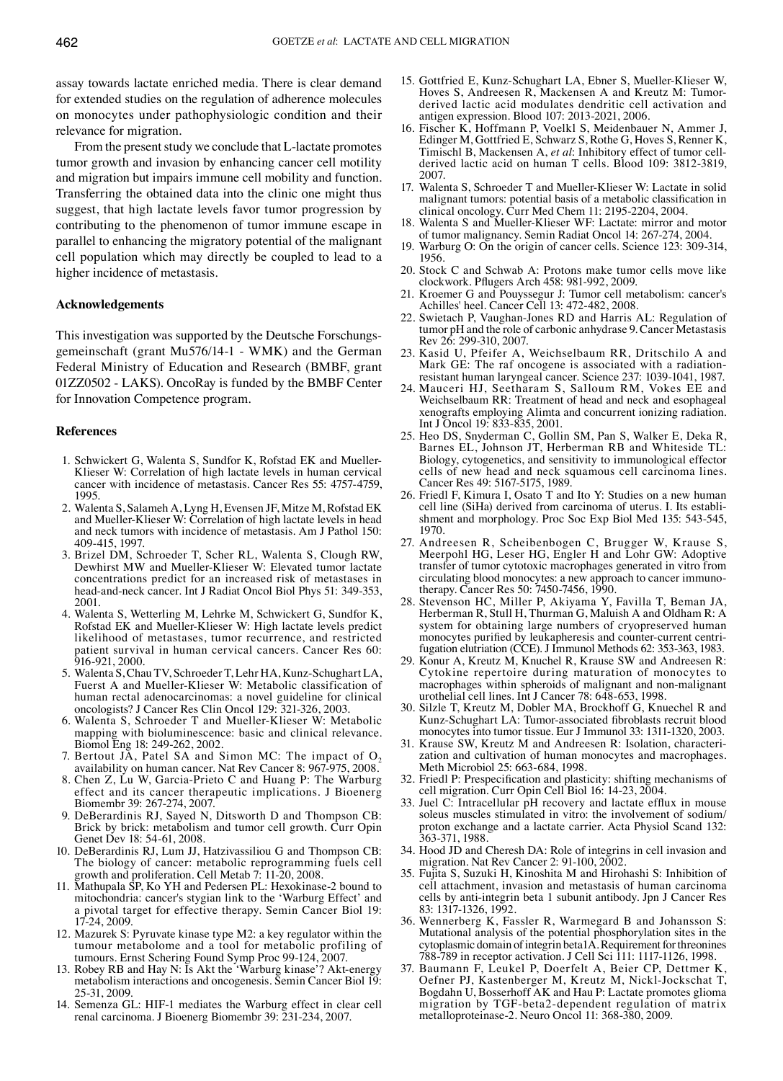assay towards lactate enriched media. There is clear demand for extended studies on the regulation of adherence molecules on monocytes under pathophysiologic condition and their relevance for migration.

From the present study we conclude that L-lactate promotes tumor growth and invasion by enhancing cancer cell motility and migration but impairs immune cell mobility and function. Transferring the obtained data into the clinic one might thus suggest, that high lactate levels favor tumor progression by contributing to the phenomenon of tumor immune escape in parallel to enhancing the migratory potential of the malignant cell population which may directly be coupled to lead to a higher incidence of metastasis.

#### **Acknowledgements**

This investigation was supported by the Deutsche Forschungsgemeinschaft (grant Mu576/14-1 - WMK) and the German Federal Ministry of Education and Research (BMBF, grant 01ZZ0502 - LAKS). OncoRay is funded by the BMBF Center for Innovation Competence program.

#### **References**

- 1. Schwickert G, Walenta S, Sundfor K, Rofstad EK and Mueller-Klieser W: Correlation of high lactate levels in human cervical cancer with incidence of metastasis. Cancer Res 55: 4757-4759, 1995.
- 2. Walenta S, Salameh A, Lyng H, Evensen JF, Mitze M, Rofstad EK and Mueller-Klieser W: Correlation of high lactate levels in head and neck tumors with incidence of metastasis. Am J Pathol 150: 409-415, 1997.
- 3. Brizel DM, Schroeder T, Scher RL, Walenta S, Clough RW, Dewhirst MW and Mueller-Klieser W: Elevated tumor lactate concentrations predict for an increased risk of metastases in head-and-neck cancer. Int J Radiat Oncol Biol Phys 51: 349-353, 2001.
- 4. Walenta S, Wetterling M, Lehrke M, Schwickert G, Sundfor K, Rofstad EK and Mueller-Klieser W: High lactate levels predict likelihood of metastases, tumor recurrence, and restricted patient survival in human cervical cancers. Cancer Res 60: 916-921, 2000.
- 5. Walenta S, Chau TV, Schroeder T, Lehr HA, Kunz-Schughart LA, Fuerst A and Mueller-Klieser W: Metabolic classification of human rectal adenocarcinomas: a novel guideline for clinical oncologists? J Cancer Res Clin Oncol 129: 321-326, 2003.
- 6. Walenta S, Schroeder T and Mueller-Klieser W: Metabolic mapping with bioluminescence: basic and clinical relevance. Biomol Eng 18: 249-262, 2002.
- 7. Bertout JA, Patel SA and Simon MC: The impact of  $O<sub>2</sub>$ availability on human cancer. Nat Rev Cancer 8: 967-975, 2008.
- 8. Chen Z, Lu W, Garcia-Prieto C and Huang P: The Warburg effect and its cancer therapeutic implications. J Bioenerg Biomembr 39: 267-274, 2007.
- 9. DeBerardinis RJ, Sayed N, Ditsworth D and Thompson CB: Brick by brick: metabolism and tumor cell growth. Curr Opin Genet Dev 18: 54-61, 2008.
- 10. DeBerardinis RJ, Lum JJ, Hatzivassiliou G and Thompson CB: The biology of cancer: metabolic reprogramming fuels cell growth and proliferation. Cell Metab 7: 11-20, 2008.
- 11. Mathupala SP, Ko YH and Pedersen PL: Hexokinase-2 bound to mitochondria: cancer's stygian link to the 'Warburg Effect' and a pivotal target for effective therapy. Semin Cancer Biol 19: 17-24, 2009.
- 12. Mazurek S: Pyruvate kinase type M2: a key regulator within the tumour metabolome and a tool for metabolic profiling of tumours. Ernst Schering Found Symp Proc 99-124, 2007.
- 13. Robey RB and Hay N: Is Akt the 'Warburg kinase'? Akt-energy metabolism interactions and oncogenesis. Semin Cancer Biol 19: 25-31, 2009.
- 14. Semenza GL: HIF-1 mediates the Warburg effect in clear cell renal carcinoma. J Bioenerg Biomembr 39: 231-234, 2007.
- 15. Gottfried E, Kunz-Schughart LA, Ebner S, Mueller-Klieser W, Hoves S, Andreesen R, Mackensen A and Kreutz M: Tumorderived lactic acid modulates dendritic cell activation and antigen expression. Blood 107: 2013-2021, 2006.
- 16. Fischer K, Hoffmann P, Voelkl S, Meidenbauer N, Ammer J, Edinger M, Gottfried E, Schwarz S, Rothe G, Hoves S, Renner K, Timischl B, Mackensen A, *et al*: Inhibitory effect of tumor cellderived lactic acid on human T cells. Blood 109: 3812-3819, 2007.
- 17. Walenta S, Schroeder T and Mueller-Klieser W: Lactate in solid malignant tumors: potential basis of a metabolic classification in clinical oncology. Curr Med Chem 11: 2195-2204, 2004.
- 18. Walenta S and Mueller-Klieser WF: Lactate: mirror and motor of tumor malignancy. Semin Radiat Oncol 14: 267-274, 2004.
- 19. Warburg O: On the origin of cancer cells. Science 123: 309-314, 1956.
- 20. Stock C and Schwab A: Protons make tumor cells move like clockwork. Pflugers Arch 458: 981-992, 2009.
- 21. Kroemer G and Pouyssegur J: Tumor cell metabolism: cancer's Achilles' heel. Cancer Cell 13: 472-482, 2008.
- 22. Swietach P, Vaughan-Jones RD and Harris AL: Regulation of tumor pH and the role of carbonic anhydrase 9. Cancer Metastasis Rev 26: 299-310, 2007.
- 23. Kasid U, Pfeifer A, Weichselbaum RR, Dritschilo A and Mark GE: The raf oncogene is associated with a radiationresistant human laryngeal cancer. Science 237: 1039-1041, 1987.
- 24. Mauceri HJ, Seetharam S, Salloum RM, Vokes EE and Weichselbaum RR: Treatment of head and neck and esophageal xenografts employing Alimta and concurrent ionizing radiation. Int J Oncol 19: 833-835, 2001.
- 25. Heo DS, Snyderman C, Gollin SM, Pan S, Walker E, Deka R, Barnes EL, Johnson JT, Herberman RB and Whiteside TL: Biology, cytogenetics, and sensitivity to immunological effector cells of new head and neck squamous cell carcinoma lines. Cancer Res 49: 5167-5175, 1989.
- 26. Friedl F, Kimura I, Osato T and Ito Y: Studies on a new human cell line (SiHa) derived from carcinoma of uterus. I. Its establishment and morphology. Proc Soc Exp Biol Med 135: 543-545, 1970.
- 27. Andreesen R, Scheibenbogen C, Brugger W, Krause S, Meerpohl HG, Leser HG, Engler H and Lohr GW: Adoptive transfer of tumor cytotoxic macrophages generated in vitro from circulating blood monocytes: a new approach to cancer immunotherapy. Cancer Res 50: 7450-7456, 1990.
- 28. Stevenson HC, Miller P, Akiyama Y, Favilla T, Beman JA, Herberman R, Stull H, Thurman G, Maluish A and Oldham R: A system for obtaining large numbers of cryopreserved human monocytes purified by leukapheresis and counter-current centrifugation elutriation (CCE). J Immunol Methods 62: 353-363, 1983.
- 29. Konur A, Kreutz M, Knuchel R, Krause SW and Andreesen R: Cytokine repertoire during maturation of monocytes to macrophages within spheroids of malignant and non-malignant urothelial cell lines. Int J Cancer 78: 648-653, 1998.
- 30. Silzle T, Kreutz M, Dobler MA, Brockhoff G, Knuechel R and Kunz-Schughart LA: Tumor-associated fibroblasts recruit blood monocytes into tumor tissue. Eur J Immunol 33: 1311-1320, 2003.
- 31. Krause SW, Kreutz M and Andreesen R: Isolation, characterization and cultivation of human monocytes and macrophages. Meth Microbiol 25: 663-684, 1998.
- 32. Friedl P: Prespecification and plasticity: shifting mechanisms of cell migration. Curr Opin Cell Biol 16: 14-23, 2004.
- 33. Juel C: Intracellular pH recovery and lactate efflux in mouse soleus muscles stimulated in vitro: the involvement of sodium/ proton exchange and a lactate carrier. Acta Physiol Scand 132: 363-371, 1988.
- 34. Hood JD and Cheresh DA: Role of integrins in cell invasion and migration. Nat Rev Cancer 2: 91-100, 2002.
- 35. Fujita S, Suzuki H, Kinoshita M and Hirohashi S: Inhibition of cell attachment, invasion and metastasis of human carcinoma cells by anti-integrin beta 1 subunit antibody. Jpn J Cancer Res 83: 1317-1326, 1992.
- 36. Wennerberg K, Fassler R, Warmegard B and Johansson S: Mutational analysis of the potential phosphorylation sites in the cytoplasmic domain of integrin beta1A. Requirement for threonines 788-789 in receptor activation. J Cell Sci 111: 1117-1126, 1998.
- 37. Baumann F, Leukel P, Doerfelt A, Beier CP, Dettmer K, Oefner PJ, Kastenberger M, Kreutz M, Nickl-Jockschat T, Bogdahn U, Bosserhoff AK and Hau P: Lactate promotes glioma migration by TGF-beta2-dependent regulation of matrix metalloproteinase-2. Neuro Oncol 11: 368-380, 2009.